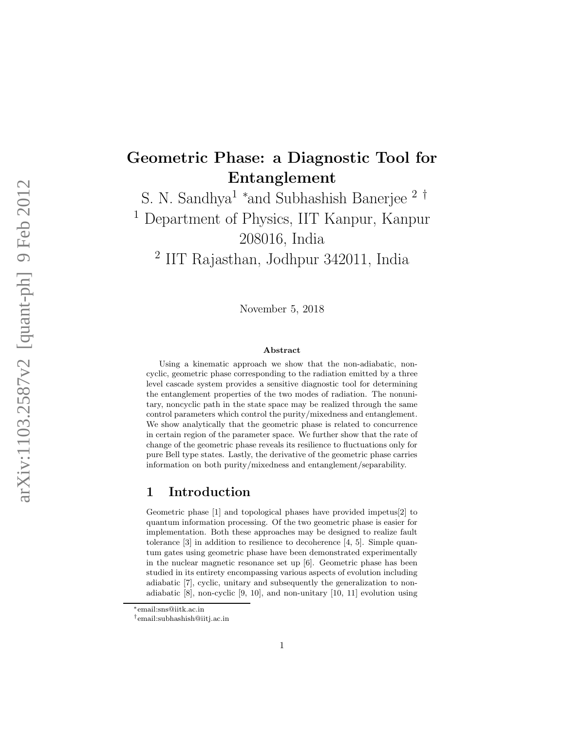# Geometric Phase: a Diagnostic Tool for Entanglement

S. N. Sandhya<sup>1</sup> <sup>∗</sup>and Subhashish Banerjee<sup>2†</sup>

<sup>1</sup> Department of Physics, IIT Kanpur, Kanpur 208016, India

2 IIT Rajasthan, Jodhpur 342011, India

November 5, 2018

#### Abstract

Using a kinematic approach we show that the non-adiabatic, noncyclic, geometric phase corresponding to the radiation emitted by a three level cascade system provides a sensitive diagnostic tool for determining the entanglement properties of the two modes of radiation. The nonunitary, noncyclic path in the state space may be realized through the same control parameters which control the purity/mixedness and entanglement. We show analytically that the geometric phase is related to concurrence in certain region of the parameter space. We further show that the rate of change of the geometric phase reveals its resilience to fluctuations only for pure Bell type states. Lastly, the derivative of the geometric phase carries information on both purity/mixedness and entanglement/separability.

### 1 Introduction

Geometric phase [1] and topological phases have provided impetus[2] to quantum information processing. Of the two geometric phase is easier for implementation. Both these approaches may be designed to realize fault tolerance [3] in addition to resilience to decoherence [4, 5]. Simple quantum gates using geometric phase have been demonstrated experimentally in the nuclear magnetic resonance set up [6]. Geometric phase has been studied in its entirety encompassing various aspects of evolution including adiabatic [7], cyclic, unitary and subsequently the generalization to nonadiabatic [8], non-cyclic [9, 10], and non-unitary [10, 11] evolution using

<sup>∗</sup> email:sns@iitk.ac.in

<sup>†</sup>email:subhashish@iitj.ac.in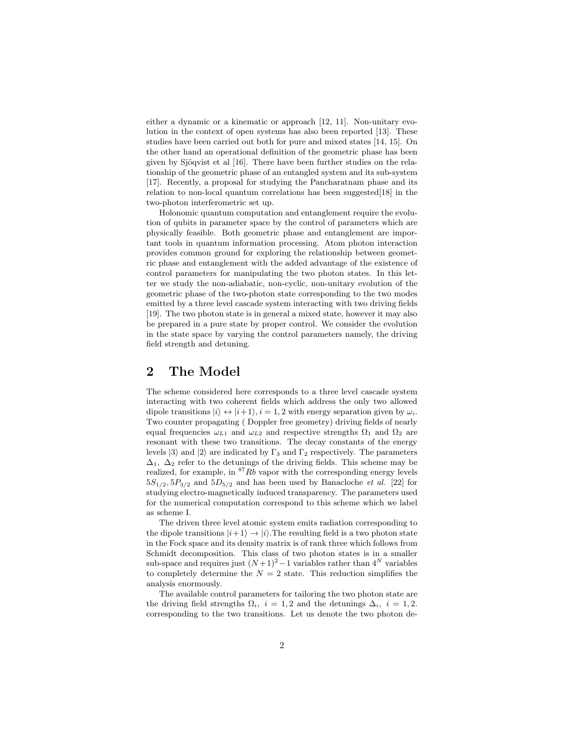either a dynamic or a kinematic or approach [12, 11]. Non-unitary evolution in the context of open systems has also been reported [13]. These studies have been carried out both for pure and mixed states [14, 15]. On the other hand an operational definition of the geometric phase has been given by Sjöqvist et al [16]. There have been further studies on the relationship of the geometric phase of an entangled system and its sub-system [17]. Recently, a proposal for studying the Pancharatnam phase and its relation to non-local quantum correlations has been suggested[18] in the two-photon interferometric set up.

Holonomic quantum computation and entanglement require the evolution of qubits in parameter space by the control of parameters which are physically feasible. Both geometric phase and entanglement are important tools in quantum information processing. Atom photon interaction provides common ground for exploring the relationship between geometric phase and entanglement with the added advantage of the existence of control parameters for manipulating the two photon states. In this letter we study the non-adiabatic, non-cyclic, non-unitary evolution of the geometric phase of the two-photon state corresponding to the two modes emitted by a three level cascade system interacting with two driving fields [19]. The two photon state is in general a mixed state, however it may also be prepared in a pure state by proper control. We consider the evolution in the state space by varying the control parameters namely, the driving field strength and detuning.

### 2 The Model

The scheme considered here corresponds to a three level cascade system interacting with two coherent fields which address the only two allowed dipole transitions  $|i\rangle \leftrightarrow |i+1\rangle$ ,  $i = 1, 2$  with energy separation given by  $\omega_i$ . Two counter propagating ( Doppler free geometry) driving fields of nearly equal frequencies  $\omega_{L1}$  and  $\omega_{L2}$  and respective strengths  $\Omega_1$  and  $\Omega_2$  are resonant with these two transitions. The decay constants of the energy levels  $|3\rangle$  and  $|2\rangle$  are indicated by  $\Gamma_3$  and  $\Gamma_2$  respectively. The parameters  $\Delta_1$ ,  $\Delta_2$  refer to the detunings of the driving fields. This scheme may be realized, for example, in  $87Rb$  vapor with the corresponding energy levels  $5S_{1/2}, 5P_{3/2}$  and  $5D_{5/2}$  and has been used by Banacloche *et al.* [22] for studying electro-magnetically induced transparency. The parameters used for the numerical computation correspond to this scheme which we label as scheme I.

The driven three level atomic system emits radiation corresponding to the dipole transitions  $|i+1\rangle \rightarrow |i\rangle$ . The resulting field is a two photon state in the Fock space and its density matrix is of rank three which follows from Schmidt decomposition. This class of two photon states is in a smaller sub-space and requires just  $(N+1)^2-1$  variables rather than  $4^N$  variables to completely determine the  $N = 2$  state. This reduction simplifies the analysis enormously.

The available control parameters for tailoring the two photon state are the driving field strengths  $\Omega_i$ ,  $i = 1, 2$  and the detunings  $\Delta_i$ ,  $i = 1, 2$ . corresponding to the two transitions. Let us denote the two photon de-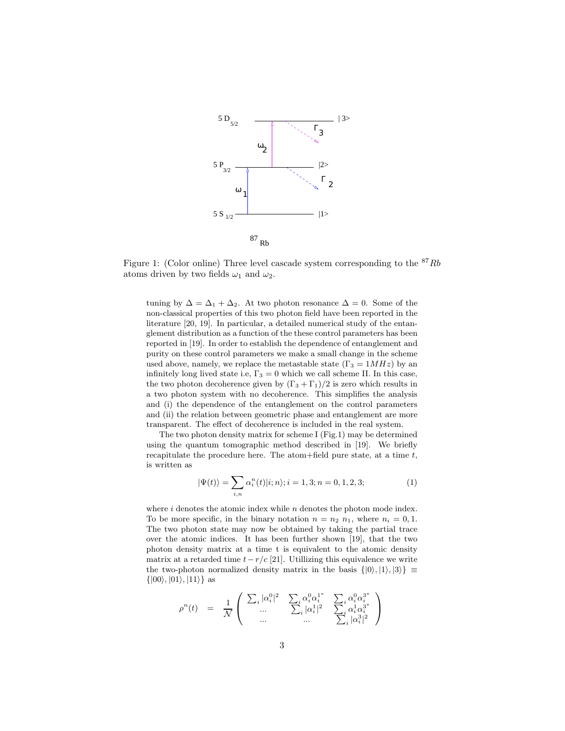

Figure 1: (Color online) Three level cascade system corresponding to the  $87Rb$ atoms driven by two fields  $\omega_1$  and  $\omega_2$ .

tuning by  $\Delta = \Delta_1 + \Delta_2$ . At two photon resonance  $\Delta = 0$ . Some of the non-classical properties of this two photon field have been reported in the literature [20, 19]. In particular, a detailed numerical study of the entanglement distribution as a function of the these control parameters has been reported in [19]. In order to establish the dependence of entanglement and purity on these control parameters we make a small change in the scheme used above, namely, we replace the metastable state  $(\Gamma_3 = 1 M Hz)$  by an infinitely long lived state i.e,  $\Gamma_3 = 0$  which we call scheme II. In this case, the two photon decoherence given by  $(\Gamma_3 + \Gamma_1)/2$  is zero which results in a two photon system with no decoherence. This simplifies the analysis and (i) the dependence of the entanglement on the control parameters and (ii) the relation between geometric phase and entanglement are more transparent. The effect of decoherence is included in the real system.

The two photon density matrix for scheme I (Fig.1) may be determined using the quantum tomographic method described in [19]. We briefly recapitulate the procedure here. The atom+field pure state, at a time t, is written as

$$
|\Psi(t)\rangle = \sum_{i,n} \alpha_i^n(t) |i;n\rangle; i = 1,3; n = 0,1,2,3; \tag{1}
$$

where  $i$  denotes the atomic index while  $n$  denotes the photon mode index. To be more specific, in the binary notation  $n = n_2$   $n_1$ , where  $n_i = 0, 1$ . The two photon state may now be obtained by taking the partial trace over the atomic indices. It has been further shown [19], that the two photon density matrix at a time t is equivalent to the atomic density matrix at a retarded time  $t-r/c$  [21]. Utillizing this equivalence we write the two-photon normalized density matrix in the basis  $\{|0\rangle, |1\rangle, |3\rangle\} \equiv$  $\{|00\rangle, |01\rangle, |11\rangle\}$  as

$$
\rho^{n}(t) = \frac{1}{\mathcal{N}} \left( \begin{array}{ccc} \sum_{i} |\alpha_{i}^{0}|^{2} & \sum_{i} \alpha_{i}^{0} \alpha_{i}^{1} & \sum_{i} \alpha_{i}^{0} \alpha_{i}^{3} \\ \dots & \sum_{i} |\alpha_{i}^{1}|^{2} & \sum_{i} \alpha_{i}^{1} \alpha_{i}^{3} \\ \dots & \dots & \sum_{i} |\alpha_{i}^{3}|^{2} \end{array} \right)
$$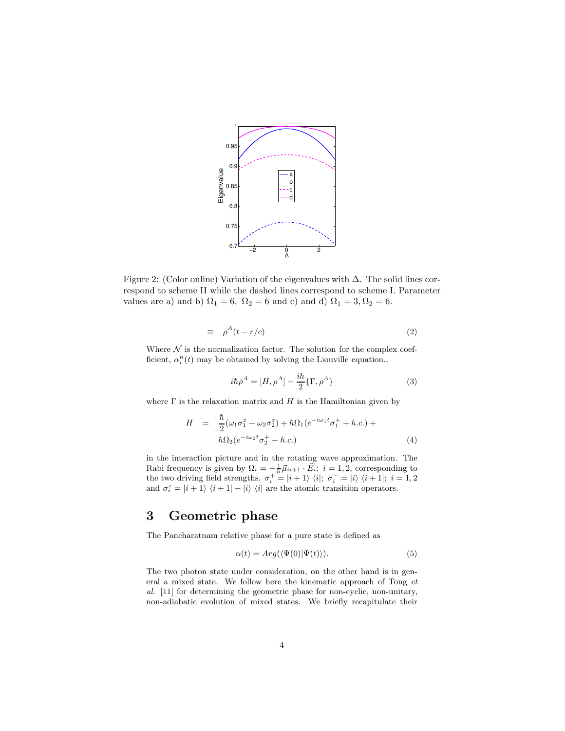

Figure 2: (Color online) Variation of the eigenvalues with ∆. The solid lines correspond to scheme II while the dashed lines correspond to scheme I. Parameter values are a) and b)  $\Omega_1 = 6$ ,  $\Omega_2 = 6$  and c) and d)  $\Omega_1 = 3$ ,  $\Omega_2 = 6$ .

$$
\equiv \rho^A(t - r/c) \tag{2}
$$

Where  $\mathcal N$  is the normalization factor. The solution for the complex coefficient,  $\alpha_i^n(t)$  may be obtained by solving the Liouville equation.,

$$
i\hbar \dot{\rho}^A = [H, \rho^A] - \frac{i\hbar}{2} \{\Gamma, \rho^A\} \tag{3}
$$

where  $\Gamma$  is the relaxation matrix and  $H$  is the Hamiltonian given by

$$
H = \frac{\hbar}{2}(\omega_1 \sigma_1^z + \omega_2 \sigma_2^z) + \hbar \Omega_1 (e^{-i\omega_1 t} \sigma_1^+ + h.c.) +
$$
  

$$
\hbar \Omega_2 (e^{-i\omega_2 t} \sigma_2^+ + h.c.)
$$
 (4)

in the interaction picture and in the rotating wave approximation. The Rabi frequency is given by  $\Omega_i = -\frac{1}{\hbar} \vec{\mu}_{ii+1} \cdot \vec{E}_i$ ;  $i = 1, 2$ , corresponding to the two driving field strengths.  $\sigma_i^+ = |i+1\rangle \langle i|; \sigma_i^- = |i\rangle \langle i+1|; i = 1, 2$ and  $\sigma_i^z = |i + 1\rangle \langle i + 1| - |i\rangle \langle i|$  are the atomic transition operators.

### 3 Geometric phase

The Pancharatnam relative phase for a pure state is defined as

$$
\alpha(t) = Arg(\langle \Psi(0) | \Psi(t) \rangle). \tag{5}
$$

The two photon state under consideration, on the other hand is in general a mixed state. We follow here the kinematic approach of Tong et al. [11] for determining the geometric phase for non-cyclic, non-unitary, non-adiabatic evolution of mixed states. We briefly recapitulate their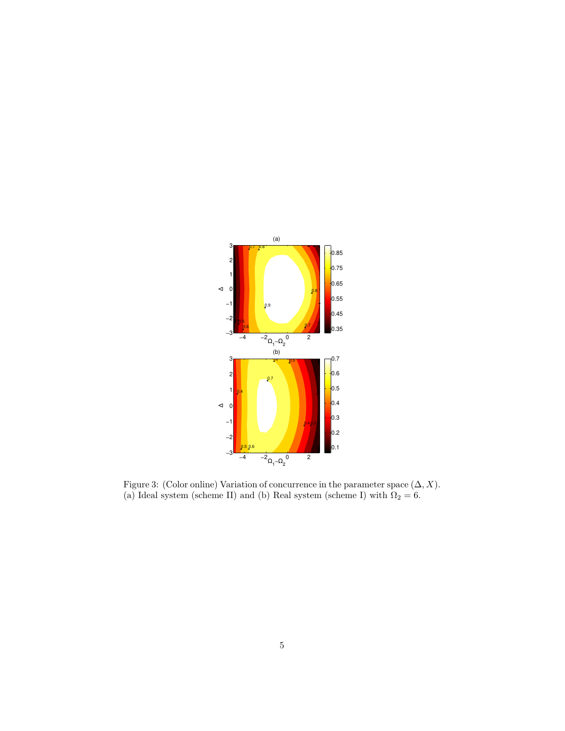

Figure 3: (Color online) Variation of concurrence in the parameter space  $(\Delta, X)$ . (a) Ideal system (scheme II) and (b) Real system (scheme I) with  $\Omega_2 = 6$ .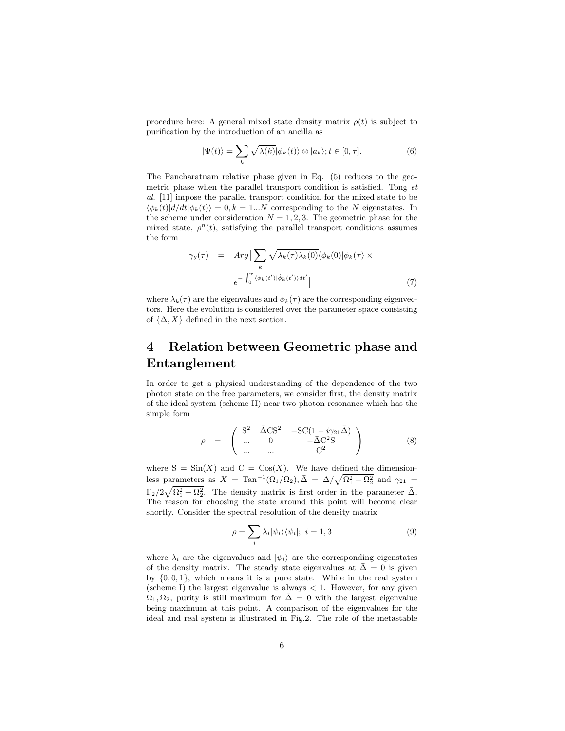procedure here: A general mixed state density matrix  $\rho(t)$  is subject to purification by the introduction of an ancilla as

$$
|\Psi(t)\rangle = \sum_{k} \sqrt{\lambda(k)} |\phi_k(t)\rangle \otimes |a_k\rangle; t \in [0, \tau]. \tag{6}
$$

The Pancharatnam relative phase given in Eq. (5) reduces to the geometric phase when the parallel transport condition is satisfied. Tong et al. [11] impose the parallel transport condition for the mixed state to be  $\langle \phi_k(t) | d/dt | \phi_k(t) \rangle = 0, k = 1...N$  corresponding to the N eigenstates. In the scheme under consideration  $N = 1, 2, 3$ . The geometric phase for the mixed state,  $\rho^{n}(t)$ , satisfying the parallel transport conditions assumes the form

$$
\gamma_g(\tau) = Arg \left[ \sum_k \sqrt{\lambda_k(\tau) \lambda_k(0)} \langle \phi_k(0) | \phi_k(\tau) \times e^{-\int_0^{\tau} \langle \phi_k(t') | \dot{\phi}_k(t') \rangle dt'} \right]
$$
\n(7)

where  $\lambda_k(\tau)$  are the eigenvalues and  $\phi_k(\tau)$  are the corresponding eigenvectors. Here the evolution is considered over the parameter space consisting of  $\{\Delta, X\}$  defined in the next section.

## 4 Relation between Geometric phase and Entanglement

In order to get a physical understanding of the dependence of the two photon state on the free parameters, we consider first, the density matrix of the ideal system (scheme II) near two photon resonance which has the simple form

$$
\rho = \begin{pmatrix} S^2 & \bar{\Delta}CS^2 & -SC(1 - i\gamma_{21}\bar{\Delta}) \\ \dots & 0 & -\bar{\Delta}C^2S \\ \dots & \dots & C^2 \end{pmatrix} \tag{8}
$$

where  $S = \text{Sin}(X)$  and  $C = \text{Cos}(X)$ . We have defined the dimensionless parameters as  $X = \text{Tan}^{-1}(\Omega_1/\Omega_2), \bar{\Delta} = \Delta/\sqrt{\Omega_1^2 + \Omega_2^2}$  and  $\gamma_{21} =$  $\Gamma_2/2\sqrt{\Omega_1^2+\Omega_2^2}$ . The density matrix is first order in the parameter  $\bar{\Delta}$ . The reason for choosing the state around this point will become clear shortly. Consider the spectral resolution of the density matrix

$$
\rho = \sum_{i} \lambda_i |\psi_i\rangle\langle\psi_i|; \ i = 1, 3 \tag{9}
$$

where  $\lambda_i$  are the eigenvalues and  $|\psi_i\rangle$  are the corresponding eigenstates of the density matrix. The steady state eigenvalues at  $\bar{\Delta} = 0$  is given by  $\{0, 0, 1\}$ , which means it is a pure state. While in the real system (scheme I) the largest eigenvalue is always  $< 1$ . However, for any given  $\Omega_1, \Omega_2$ , purity is still maximum for  $\overline{\Delta} = 0$  with the largest eigenvalue being maximum at this point. A comparison of the eigenvalues for the ideal and real system is illustrated in Fig.2. The role of the metastable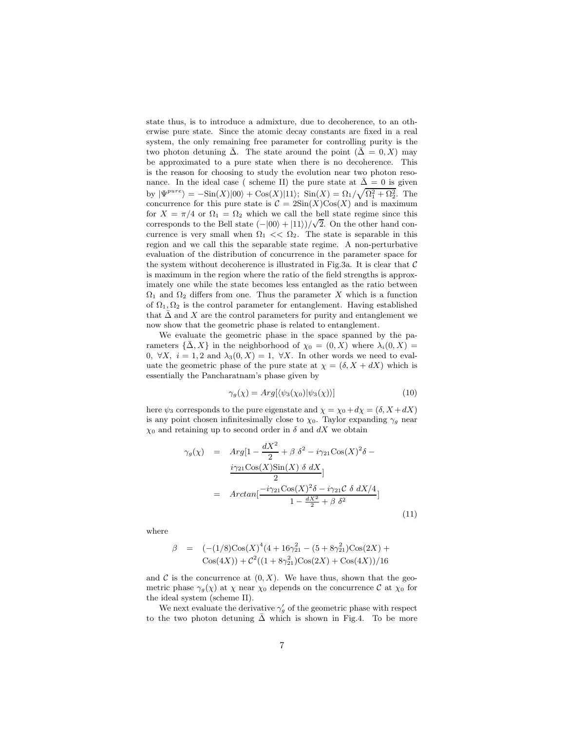state thus, is to introduce a admixture, due to decoherence, to an otherwise pure state. Since the atomic decay constants are fixed in a real system, the only remaining free parameter for controlling purity is the two photon detuning  $\bar{\Delta}$ . The state around the point  $(\bar{\Delta} = 0, X)$  may be approximated to a pure state when there is no decoherence. This is the reason for choosing to study the evolution near two photon resonance. In the ideal case ( scheme II) the pure state at  $\bar{\Delta} = 0$  is given by  $|\Psi^{pure}\rangle = -\text{Sin}(X)|00\rangle + \text{Cos}(X)|11\rangle; \quad \text{Sin}(X) = \Omega_1/\sqrt{\Omega_1^2 + \Omega_2^2}.$  The concurrence for this pure state is  $C = 2\text{Sin}(X)\text{Cos}(X)$  and is maximum for  $X = \pi/4$  or  $\Omega_1 = \Omega_2$  which we call the bell state regime since this corresponds to the Bell state  $(-|00\rangle + |11\rangle)/\sqrt{2}$ . On the other hand concurrence is very small when  $\Omega_1 \ll \Omega_2$ . The state is separable in this region and we call this the separable state regime. A non-perturbative evaluation of the distribution of concurrence in the parameter space for the system without decoherence is illustrated in Fig.3a. It is clear that  $\mathcal C$ is maximum in the region where the ratio of the field strengths is approximately one while the state becomes less entangled as the ratio between  $\Omega_1$  and  $\Omega_2$  differs from one. Thus the parameter X which is a function of  $\Omega_1, \Omega_2$  is the control parameter for entanglement. Having established that  $\bar{\Delta}$  and X are the control parameters for purity and entanglement we now show that the geometric phase is related to entanglement.

We evaluate the geometric phase in the space spanned by the parameters  $\{\bar{\Delta}, X\}$  in the neighborhood of  $\chi_0 = (0, X)$  where  $\lambda_i(0, X) =$ 0,  $\forall X, i = 1, 2 \text{ and } \lambda_3(0, X) = 1, \forall X$ . In other words we need to evaluate the geometric phase of the pure state at  $\chi = (\delta, X + dX)$  which is essentially the Pancharatnam's phase given by

$$
\gamma_g(\chi) = Arg[\langle \psi_3(\chi_0) | \psi_3(\chi) \rangle] \tag{10}
$$

here  $\psi_3$  corresponds to the pure eigenstate and  $\chi = \chi_0 + d\chi = (\delta, X + dX)$ is any point chosen infinitesimally close to  $\chi_0$ . Taylor expanding  $\gamma_g$  near  $\chi_0$  and retaining up to second order in  $\delta$  and  $dX$  we obtain

$$
\gamma_g(\chi) = Arg[1 - \frac{dX^2}{2} + \beta \delta^2 - i\gamma_{21}\cos(X)^2\delta - \frac{i\gamma_{21}\cos(X)\sin(X)\delta dX}{2}]
$$
  
=  $Arctan[\frac{-i\gamma_{21}\cos(X)^2\delta - i\gamma_{21}\mathcal{C}\delta dX/4}{1 - \frac{dX^2}{2} + \beta \delta^2}]$  (11)

where

$$
\beta = (-1/8)\cos(X)^{4}(4+16\gamma_{21}^{2} - (5+8\gamma_{21}^{2})\cos(2X) + \cos(4X)) + c^{2}((1+8\gamma_{21}^{2})\cos(2X) + \cos(4X))/16
$$

and  $\mathcal C$  is the concurrence at  $(0, X)$ . We have thus, shown that the geometric phase  $\gamma_g(\chi)$  at  $\chi$  near  $\chi_0$  depends on the concurrence C at  $\chi_0$  for the ideal system (scheme II).

We next evaluate the derivative  $\gamma'_{g}$  of the geometric phase with respect to the two photon detuning  $\bar{\Delta}$  which is shown in Fig.4. To be more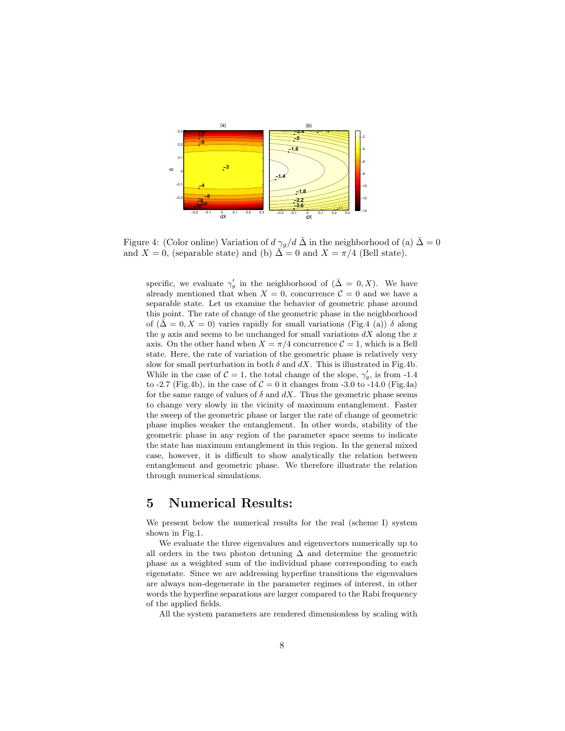

Figure 4: (Color online) Variation of  $d \gamma_g/d \bar{\Delta}$  in the neighborhood of (a)  $\bar{\Delta} = 0$ and  $X = 0$ , (separable state) and (b)  $\overline{\Delta} = 0$  and  $X = \pi/4$  (Bell state).

specific, we evaluate  $\gamma_g'$  in the neighborhood of  $(\bar{\Delta} = 0, X)$ . We have already mentioned that when  $X = 0$ , concurrence  $C = 0$  and we have a separable state. Let us examine the behavior of geometric phase around this point. The rate of change of the geometric phase in the neighborhood of  $(\bar{\Delta} = 0, X = 0)$  varies rapidly for small variations (Fig.4 (a))  $\delta$  along the y axis and seems to be unchanged for small variations  $dX$  along the x axis. On the other hand when  $X = \pi/4$  concurrence  $C = 1$ , which is a Bell state. Here, the rate of variation of the geometric phase is relatively very slow for small perturbation in both  $\delta$  and  $dX$ . This is illustrated in Fig.4b. While in the case of  $C = 1$ , the total change of the slope,  $\gamma_g'$ , is from -1.4 to -2.7 (Fig.4b), in the case of  $C = 0$  it changes from -3.0 to -14.0 (Fig.4a) for the same range of values of  $\delta$  and  $dX$ . Thus the geometric phase seems to change very slowly in the vicinity of maximum entanglement. Faster the sweep of the geometric phase or larger the rate of change of geometric phase implies weaker the entanglement. In other words, stability of the geometric phase in any region of the parameter space seems to indicate the state has maximum entanglement in this region. In the general mixed case, however, it is difficult to show analytically the relation between entanglement and geometric phase. We therefore illustrate the relation through numerical simulations.

### 5 Numerical Results:

We present below the numerical results for the real (scheme I) system shown in Fig.1.

We evaluate the three eigenvalues and eigenvectors numerically up to all orders in the two photon detuning  $\Delta$  and determine the geometric phase as a weighted sum of the individual phase corresponding to each eigenstate. Since we are addressing hyperfine transitions the eigenvalues are always non-degenerate in the parameter regimes of interest, in other words the hyperfine separations are larger compared to the Rabi frequency of the applied fields.

All the system parameters are rendered dimensionless by scaling with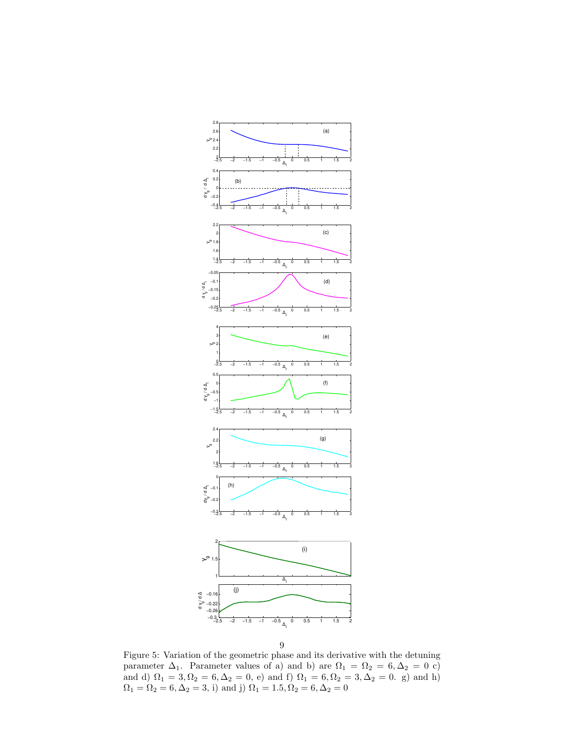

9

Figure 5: Variation of the geometric phase and its derivative with the detuning parameter  $\Delta_1$ . Parameter values of a) and b) are  $\Omega_1 = \Omega_2 = 6, \Delta_2 = 0$  c) and d)  $\Omega_1 = 3, \Omega_2 = 6, \Delta_2 = 0, e$  and f)  $\Omega_1 = 6, \Omega_2 = 3, \Delta_2 = 0, g$  and h)  $\Omega_1 = \Omega_2 = 6, \Delta_2 = 3, i)$  and j)  $\Omega_1 = 1.5, \Omega_2 = 6, \Delta_2 = 0$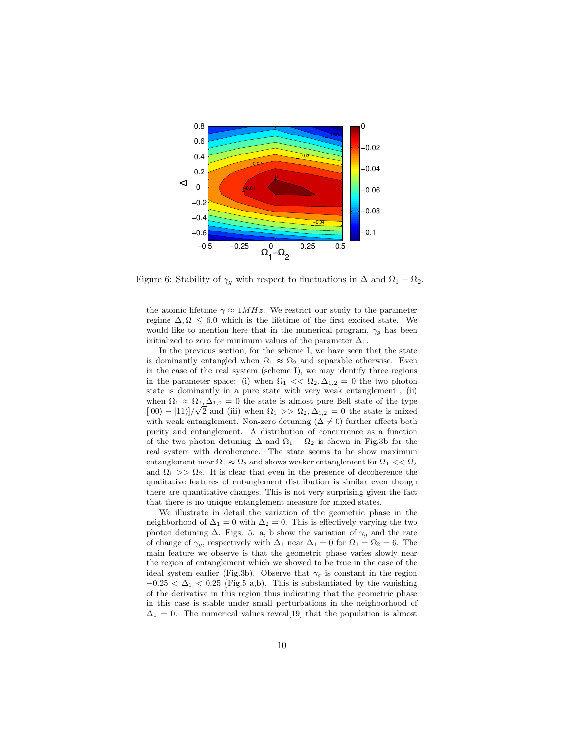

Figure 6: Stability of  $\gamma_g$  with respect to fluctuations in  $\Delta$  and  $\Omega_1 - \Omega_2$ .

the atomic lifetime  $\gamma \approx 1 MHz$ . We restrict our study to the parameter regime  $\Delta, \Omega \leq 6.0$  which is the lifetime of the first excited state. We would like to mention here that in the numerical program,  $\gamma_g$  has been initialized to zero for minimum values of the parameter  $\Delta_1$ .

In the previous section, for the scheme I, we have seen that the state is dominantly entangled when  $\Omega_1 \approx \Omega_2$  and separable otherwise. Even in the case of the real system (scheme I), we may identify three regions in the parameter space: (i) when  $\Omega_1 \ll \Omega_2, \Delta_{1,2} = 0$  the two photon state is dominantly in a pure state with very weak entanglement , (ii) when  $\Omega_1 \approx \Omega_2, \Delta_{1,2} = 0$  the state is almost pure Bell state of the type  $\frac{1}{2}$ [|00) – |11}]/ $\sqrt{2}$  and (iii) when  $\Omega_1 > \Omega_2, \Delta_{1,2} = 0$  the state is mixed with weak entanglement. Non-zero detuning ( $\Delta \neq 0$ ) further affects both purity and entanglement. A distribution of concurrence as a function of the two photon detuning  $\Delta$  and  $\Omega_1 - \Omega_2$  is shown in Fig.3b for the real system with decoherence. The state seems to be show maximum entanglement near  $\Omega_1 \approx \Omega_2$  and shows weaker entanglement for  $\Omega_1 \ll \Omega_2$ and  $\Omega_1 >> \Omega_2$ . It is clear that even in the presence of decoherence the qualitative features of entanglement distribution is similar even though there are quantitative changes. This is not very surprising given the fact that there is no unique entanglement measure for mixed states.

We illustrate in detail the variation of the geometric phase in the neighborhood of  $\Delta_1 = 0$  with  $\Delta_2 = 0$ . This is effectively varying the two photon detuning  $\Delta$ . Figs. 5. a, b show the variation of  $\gamma_g$  and the rate of change of  $\gamma_q$ , respectively with  $\Delta_1$  near  $\Delta_1 = 0$  for  $\Omega_1 = \Omega_2 = 6$ . The main feature we observe is that the geometric phase varies slowly near the region of entanglement which we showed to be true in the case of the ideal system earlier (Fig.3b). Observe that  $\gamma_g$  is constant in the region  $-0.25 < \Delta_1 < 0.25$  (Fig.5 a,b). This is substantiated by the vanishing of the derivative in this region thus indicating that the geometric phase in this case is stable under small perturbations in the neighborhood of  $\Delta_1 = 0$ . The numerical values reveal[19] that the population is almost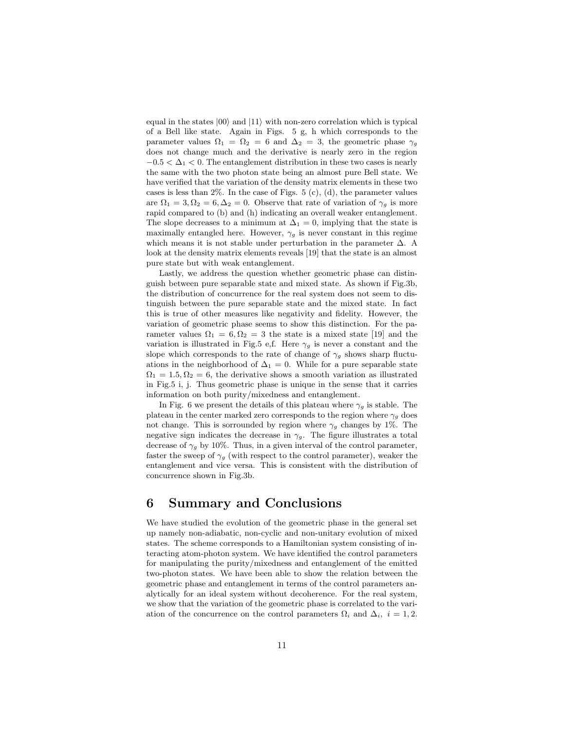equal in the states  $|00\rangle$  and  $|11\rangle$  with non-zero correlation which is typical of a Bell like state. Again in Figs. 5 g, h which corresponds to the parameter values  $\Omega_1 = \Omega_2 = 6$  and  $\Delta_2 = 3$ , the geometric phase  $\gamma_g$ does not change much and the derivative is nearly zero in the region  $-0.5 < \Delta_1 < 0$ . The entanglement distribution in these two cases is nearly the same with the two photon state being an almost pure Bell state. We have verified that the variation of the density matrix elements in these two cases is less than  $2\%$ . In the case of Figs. 5 (c), (d), the parameter values are  $\Omega_1 = 3, \Omega_2 = 6, \Delta_2 = 0$ . Observe that rate of variation of  $\gamma_g$  is more rapid compared to (b) and (h) indicating an overall weaker entanglement. The slope decreases to a minimum at  $\Delta_1 = 0$ , implying that the state is maximally entangled here. However,  $\gamma_g$  is never constant in this regime which means it is not stable under perturbation in the parameter  $\Delta$ . A look at the density matrix elements reveals [19] that the state is an almost pure state but with weak entanglement.

Lastly, we address the question whether geometric phase can distinguish between pure separable state and mixed state. As shown if Fig.3b, the distribution of concurrence for the real system does not seem to distinguish between the pure separable state and the mixed state. In fact this is true of other measures like negativity and fidelity. However, the variation of geometric phase seems to show this distinction. For the parameter values  $\Omega_1 = 6, \Omega_2 = 3$  the state is a mixed state [19] and the variation is illustrated in Fig.5 e,f. Here  $\gamma_g$  is never a constant and the slope which corresponds to the rate of change of  $\gamma_g$  shows sharp fluctuations in the neighborhood of  $\Delta_1 = 0$ . While for a pure separable state  $\Omega_1 = 1.5, \Omega_2 = 6$ , the derivative shows a smooth variation as illustrated in Fig.5 i, j. Thus geometric phase is unique in the sense that it carries information on both purity/mixedness and entanglement.

In Fig. 6 we present the details of this plateau where  $\gamma_g$  is stable. The plateau in the center marked zero corresponds to the region where  $\gamma_g$  does not change. This is sorrounded by region where  $\gamma_g$  changes by 1%. The negative sign indicates the decrease in  $\gamma_g$ . The figure illustrates a total decrease of  $\gamma_q$  by 10%. Thus, in a given interval of the control parameter, faster the sweep of  $\gamma_g$  (with respect to the control parameter), weaker the entanglement and vice versa. This is consistent with the distribution of concurrence shown in Fig.3b.

### 6 Summary and Conclusions

We have studied the evolution of the geometric phase in the general set up namely non-adiabatic, non-cyclic and non-unitary evolution of mixed states. The scheme corresponds to a Hamiltonian system consisting of interacting atom-photon system. We have identified the control parameters for manipulating the purity/mixedness and entanglement of the emitted two-photon states. We have been able to show the relation between the geometric phase and entanglement in terms of the control parameters analytically for an ideal system without decoherence. For the real system, we show that the variation of the geometric phase is correlated to the variation of the concurrence on the control parameters  $\Omega_i$  and  $\Delta_i$ ,  $i = 1, 2$ .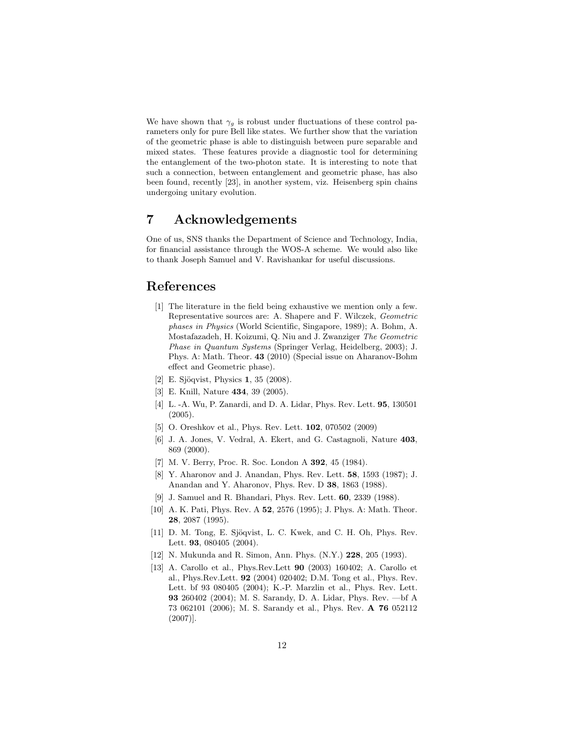We have shown that  $\gamma_g$  is robust under fluctuations of these control parameters only for pure Bell like states. We further show that the variation of the geometric phase is able to distinguish between pure separable and mixed states. These features provide a diagnostic tool for determining the entanglement of the two-photon state. It is interesting to note that such a connection, between entanglement and geometric phase, has also been found, recently [23], in another system, viz. Heisenberg spin chains undergoing unitary evolution.

### 7 Acknowledgements

One of us, SNS thanks the Department of Science and Technology, India, for financial assistance through the WOS-A scheme. We would also like to thank Joseph Samuel and V. Ravishankar for useful discussions.

### References

- [1] The literature in the field being exhaustive we mention only a few. Representative sources are: A. Shapere and F. Wilczek, Geometric phases in Physics (World Scientific, Singapore, 1989); A. Bohm, A. Mostafazadeh, H. Koizumi, Q. Niu and J. Zwanziger The Geometric Phase in Quantum Systems (Springer Verlag, Heidelberg, 2003); J. Phys. A: Math. Theor. 43 (2010) (Special issue on Aharanov-Bohm effect and Geometric phase).
- [2] E. Sjöqvist, Physics 1, 35 (2008).
- [3] E. Knill, Nature 434, 39 (2005).
- [4] L. -A. Wu, P. Zanardi, and D. A. Lidar, Phys. Rev. Lett. 95, 130501 (2005).
- [5] O. Oreshkov et al., Phys. Rev. Lett. 102, 070502 (2009)
- [6] J. A. Jones, V. Vedral, A. Ekert, and G. Castagnoli, Nature 403, 869 (2000).
- [7] M. V. Berry, Proc. R. Soc. London A 392, 45 (1984).
- [8] Y. Aharonov and J. Anandan, Phys. Rev. Lett. 58, 1593 (1987); J. Anandan and Y. Aharonov, Phys. Rev. D 38, 1863 (1988).
- [9] J. Samuel and R. Bhandari, Phys. Rev. Lett. 60, 2339 (1988).
- [10] A. K. Pati, Phys. Rev. A 52, 2576 (1995); J. Phys. A: Math. Theor. 28, 2087 (1995).
- [11] D. M. Tong, E. Sjöqvist, L. C. Kwek, and C. H. Oh, Phys. Rev. Lett. **93**, 080405 (2004).
- [12] N. Mukunda and R. Simon, Ann. Phys. (N.Y.) 228, 205 (1993).
- [13] A. Carollo et al., Phys.Rev.Lett 90 (2003) 160402; A. Carollo et al., Phys.Rev.Lett. 92 (2004) 020402; D.M. Tong et al., Phys. Rev. Lett. bf 93 080405 (2004); K.-P. Marzlin et al., Phys. Rev. Lett. 93 260402 (2004); M. S. Sarandy, D. A. Lidar, Phys. Rev. —bf A 73 062101 (2006); M. S. Sarandy et al., Phys. Rev. A 76 052112 (2007)].